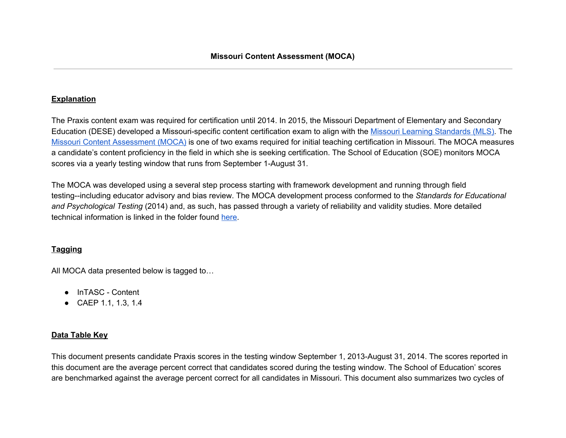## **Explanation**

The Praxis content exam was required for certification until 2014. In 2015, the Missouri Department of Elementary and Secondary Education (DESE) developed a Missouri-specific content certification exam to align with the Missouri Learning [Standards](https://dese.mo.gov/college-career-readiness/curriculum/missouri-learning-standards) (MLS). The Missouri Content [Assessment](http://www.mo.nesinc.com/PageView.aspx?f=GEN_Tests.html) (MOCA) is one of two exams required for initial teaching certification in Missouri. The MOCA measures a candidate's content proficiency in the field in which she is seeking certification. The School of Education (SOE) monitors MOCA scores via a yearly testing window that runs from September 1-August 31.

The MOCA was developed using a several step process starting with framework development and running through field testing--including educator advisory and bias review. The MOCA development process conformed to the *Standards for Educational and Psychological Testing* (2014) and, as such, has passed through a variety of reliability and validity studies. More detailed technical information is linked in the folder found [here.](https://drive.google.com/drive/folders/0B-HltUecDxCycUNkTm1BUHg1Uk0)

# **Tagging**

All MOCA data presented below is tagged to…

- InTASC Content
- CAEP 1.1, 1.3, 1.4

### **Data Table Key**

This document presents candidate Praxis scores in the testing window September 1, 2013-August 31, 2014. The scores reported in this document are the average percent correct that candidates scored during the testing window. The School of Education' scores are benchmarked against the average percent correct for all candidates in Missouri. This document also summarizes two cycles of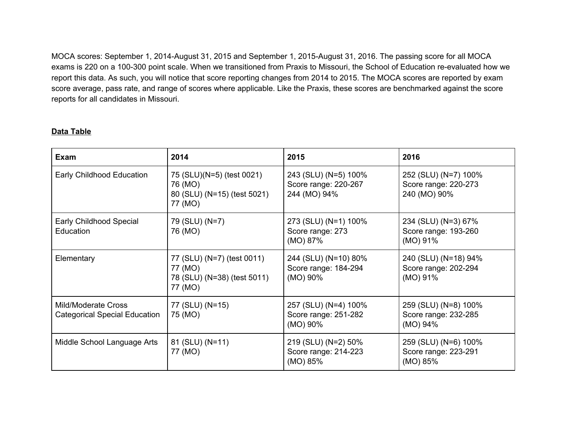MOCA scores: September 1, 2014-August 31, 2015 and September 1, 2015-August 31, 2016. The passing score for all MOCA exams is 220 on a 100-300 point scale. When we transitioned from Praxis to Missouri, the School of Education re-evaluated how we report this data. As such, you will notice that score reporting changes from 2014 to 2015. The MOCA scores are reported by exam score average, pass rate, and range of scores where applicable. Like the Praxis, these scores are benchmarked against the score reports for all candidates in Missouri.

### **Data Table**

| <b>Exam</b>                                                 | 2014                                                                            | 2015                                                         | 2016                                                         |
|-------------------------------------------------------------|---------------------------------------------------------------------------------|--------------------------------------------------------------|--------------------------------------------------------------|
| Early Childhood Education                                   | 75 (SLU)(N=5) (test 0021)<br>76 (MO)<br>80 (SLU) (N=15) (test 5021)<br>77 (MO)  | 243 (SLU) (N=5) 100%<br>Score range: 220-267<br>244 (MO) 94% | 252 (SLU) (N=7) 100%<br>Score range: 220-273<br>240 (MO) 90% |
| Early Childhood Special<br>Education                        | 79 (SLU) (N=7)<br>76 (MO)                                                       | 273 (SLU) (N=1) 100%<br>Score range: 273<br>(MO) 87%         | 234 (SLU) (N=3) 67%<br>Score range: 193-260<br>(MO) 91%      |
| Elementary                                                  | 77 (SLU) (N=7) (test 0011)<br>77 (MO)<br>78 (SLU) (N=38) (test 5011)<br>77 (MO) | 244 (SLU) (N=10) 80%<br>Score range: 184-294<br>(MO) 90%     | 240 (SLU) (N=18) 94%<br>Score range: 202-294<br>(MO) 91%     |
| Mild/Moderate Cross<br><b>Categorical Special Education</b> | 77 (SLU) (N=15)<br>75 (MO)                                                      | 257 (SLU) (N=4) 100%<br>Score range: 251-282<br>(MO) 90%     | 259 (SLU) (N=8) 100%<br>Score range: 232-285<br>(MO) 94%     |
| Middle School Language Arts                                 | 81 (SLU) (N=11)<br>77 (MO)                                                      | 219 (SLU) (N=2) 50%<br>Score range: 214-223<br>(MO) 85%      | 259 (SLU) (N=6) 100%<br>Score range: 223-291<br>(MO) 85%     |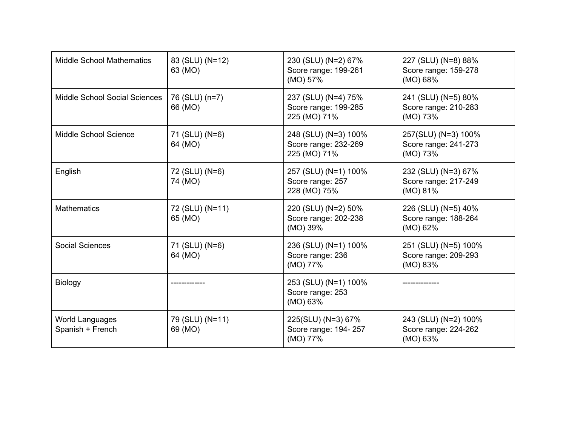| <b>Middle School Mathematics</b>           | 83 (SLU) (N=12)<br>63 (MO) | 230 (SLU) (N=2) 67%<br>Score range: 199-261<br>(MO) 57%      | 227 (SLU) (N=8) 88%<br>Score range: 159-278<br>(MO) 68%  |
|--------------------------------------------|----------------------------|--------------------------------------------------------------|----------------------------------------------------------|
| <b>Middle School Social Sciences</b>       | 76 (SLU) (n=7)<br>66 (MO)  | 237 (SLU) (N=4) 75%<br>Score range: 199-285<br>225 (MO) 71%  | 241 (SLU) (N=5) 80%<br>Score range: 210-283<br>(MO) 73%  |
| Middle School Science                      | 71 (SLU) (N=6)<br>64 (MO)  | 248 (SLU) (N=3) 100%<br>Score range: 232-269<br>225 (MO) 71% | 257(SLU) (N=3) 100%<br>Score range: 241-273<br>(MO) 73%  |
| English                                    | 72 (SLU) (N=6)<br>74 (MO)  | 257 (SLU) (N=1) 100%<br>Score range: 257<br>228 (MO) 75%     | 232 (SLU) (N=3) 67%<br>Score range: 217-249<br>(MO) 81%  |
| <b>Mathematics</b>                         | 72 (SLU) (N=11)<br>65 (MO) | 220 (SLU) (N=2) 50%<br>Score range: 202-238<br>(MO) 39%      | 226 (SLU) (N=5) 40%<br>Score range: 188-264<br>(MO) 62%  |
| <b>Social Sciences</b>                     | 71 (SLU) (N=6)<br>64 (MO)  | 236 (SLU) (N=1) 100%<br>Score range: 236<br>(MO) 77%         | 251 (SLU) (N=5) 100%<br>Score range: 209-293<br>(MO) 83% |
| Biology                                    |                            | 253 (SLU) (N=1) 100%<br>Score range: 253<br>(MO) 63%         |                                                          |
| <b>World Languages</b><br>Spanish + French | 79 (SLU) (N=11)<br>69 (MO) | 225(SLU) (N=3) 67%<br>Score range: 194-257<br>(MO) 77%       | 243 (SLU) (N=2) 100%<br>Score range: 224-262<br>(MO) 63% |